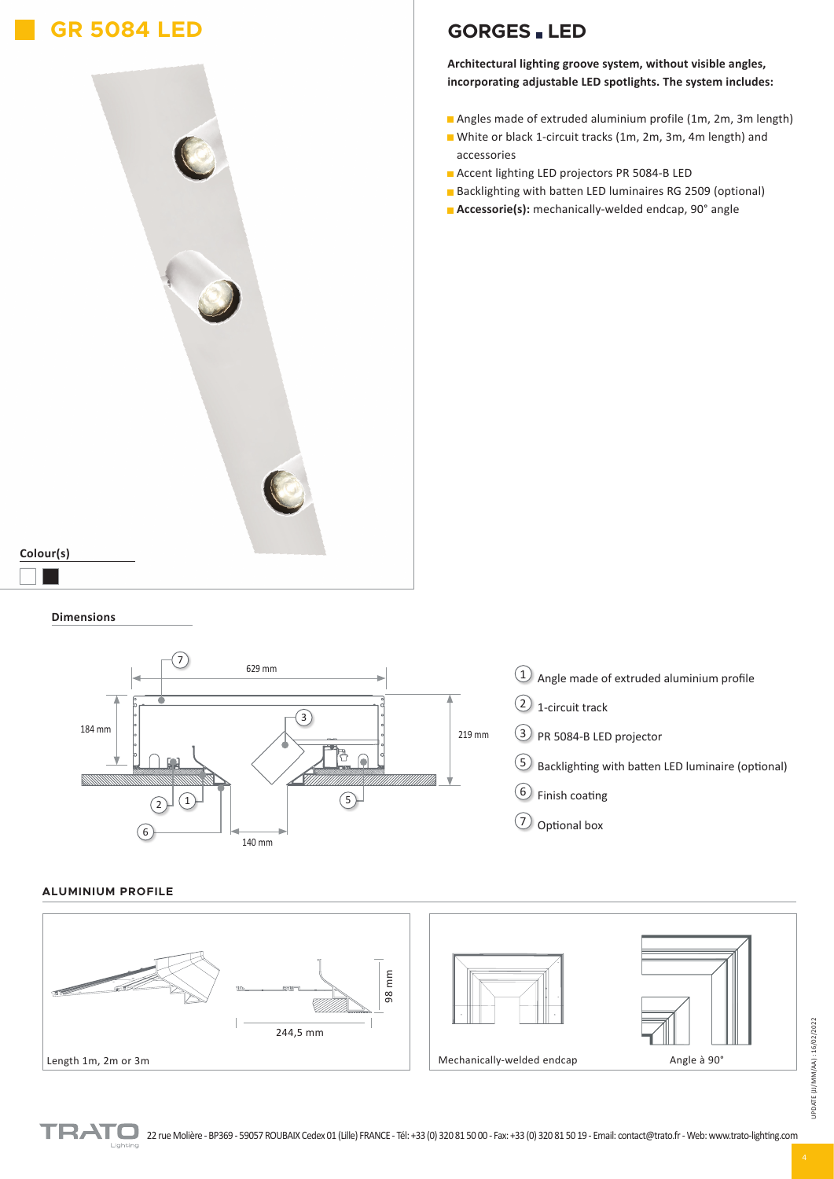# **GR 5084 LED**



## **GORGES LED**

**Architectural lighting groove system, without visible angles, incorporating adjustable LED spotlights. The system includes:**

- Angles made of extruded aluminium profile (1m, 2m, 3m length)
- White or black 1-circuit tracks (1m, 2m, 3m, 4m length) and accessories
- **Accent lighting LED projectors PR 5084-B LED**
- Backlighting with batten LED luminaires RG 2509 (optional)
- **Accessorie(s):** mechanically-welded endcap, 90° angle

### **Dimensions**



### **ALUMINIUM PROFILE**

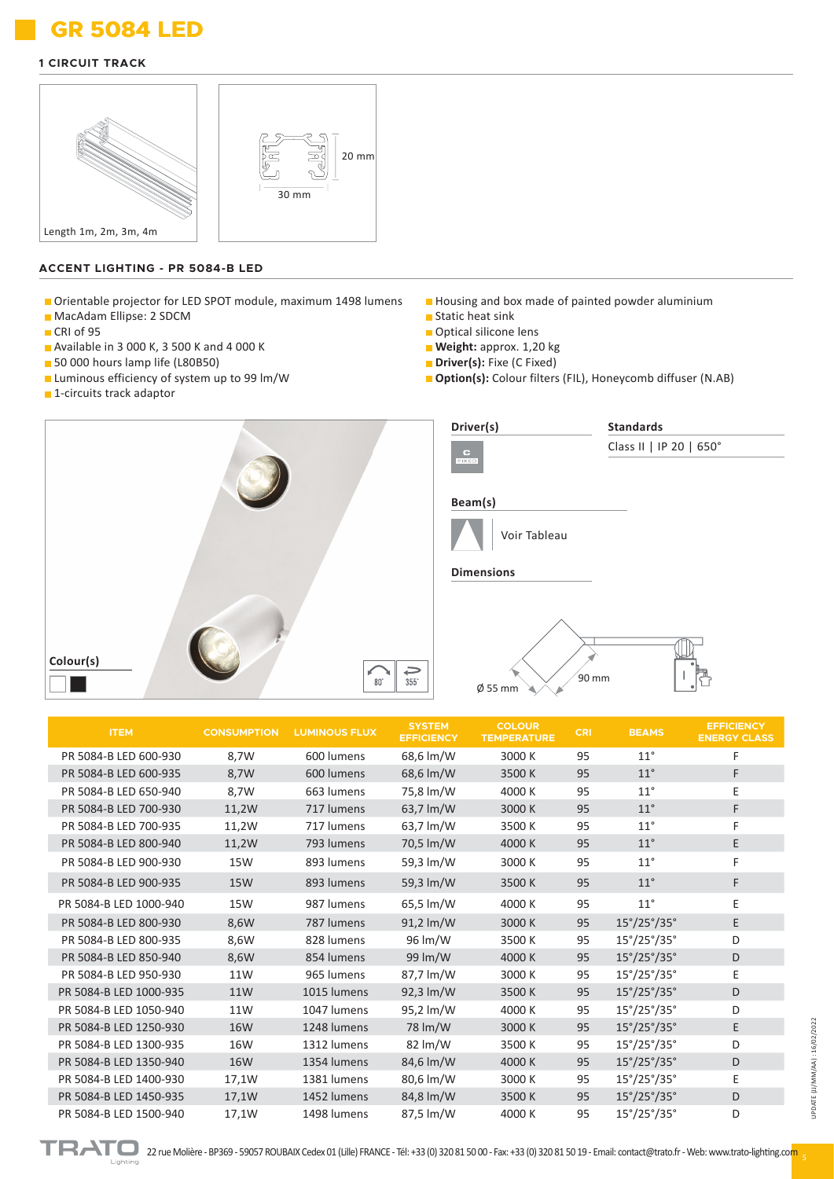# **GR 5084 LED GR 5084 LED**

#### **1 CIRCUIT TRACK**



#### **ACCENT LIGHTING - PR 5084-B LED**

- Orientable projector for LED SPOT module, maximum 1498 lumens
- **MacAdam Ellipse: 2 SDCM**
- CRI of 95
- Available in 3 000 K, 3 500 K and 4 000 K
- 50 000 hours lamp life (L80B50)
- **Luminous efficiency of system up to 99 lm/W**
- **1**-circuits track adaptor
- Housing and box made of painted powder aluminium Static heat sink
- Optical silicone lens
- **Weight:** approx. 1,20 kg
- **Driver(s):** Fixe (C Fixed)
- **Option(s):** Colour filters (FIL), Honeycomb diffuser (N.AB)



| <b>ITEM</b>            | <b>CONSUMPTION</b> | <b>LUMINOUS FLUX</b> | <b>SYSTEM</b><br><b>EFFICIENCY</b> | <b>COLOUR</b><br><b>TEMPERATURE</b> | <b>CRI</b> | <b>BEAMS</b>                       | <b>EFFICIENCY</b><br><b>ENERGY CLASS</b> |
|------------------------|--------------------|----------------------|------------------------------------|-------------------------------------|------------|------------------------------------|------------------------------------------|
| PR 5084-B LED 600-930  | 8,7W               | 600 lumens           | 68,6 lm/W                          | 3000 K                              | 95         | $11^{\circ}$                       | F                                        |
| PR 5084-B LED 600-935  | 8,7W               | 600 lumens           | 68,6 lm/W                          | 3500 K                              | 95         | $11^{\circ}$                       | F                                        |
| PR 5084-B LED 650-940  | 8,7W               | 663 lumens           | 75,8 lm/W                          | 4000 K                              | 95         | $11^{\circ}$                       | E                                        |
| PR 5084-B LED 700-930  | 11,2W              | 717 lumens           | 63,7 lm/W                          | 3000 K                              | 95         | $11^{\circ}$                       | F                                        |
| PR 5084-B LED 700-935  | 11,2W              | 717 lumens           | 63,7 lm/W                          | 3500K                               | 95         | $11^{\circ}$                       | F                                        |
| PR 5084-B LED 800-940  | 11,2W              | 793 lumens           | 70,5 lm/W                          | 4000 K                              | 95         | $11^{\circ}$                       | E                                        |
| PR 5084-B LED 900-930  | <b>15W</b>         | 893 lumens           | 59,3 lm/W                          | 3000 K                              | 95         | $11^{\circ}$                       | F                                        |
| PR 5084-B LED 900-935  | <b>15W</b>         | 893 lumens           | 59,3 lm/W                          | 3500K                               | 95         | $11^{\circ}$                       | F                                        |
| PR 5084-B LED 1000-940 | <b>15W</b>         | 987 lumens           | 65,5 lm/W                          | 4000 K                              | 95         | $11^{\circ}$                       | E                                        |
| PR 5084-B LED 800-930  | 8,6W               | 787 lumens           | 91,2 lm/W                          | 3000 K                              | 95         | $15^{\circ}/25^{\circ}/35^{\circ}$ | E                                        |
| PR 5084-B LED 800-935  | 8,6W               | 828 lumens           | 96 lm/W                            | 3500K                               | 95         | $15^{\circ}/25^{\circ}/35^{\circ}$ | D                                        |
| PR 5084-B LED 850-940  | 8,6W               | 854 lumens           | 99 lm/W                            | 4000 K                              | 95         | $15^{\circ}/25^{\circ}/35^{\circ}$ | D                                        |
| PR 5084-B LED 950-930  | 11W                | 965 lumens           | 87,7 lm/W                          | 3000 K                              | 95         | $15^{\circ}/25^{\circ}/35^{\circ}$ | E                                        |
| PR 5084-B LED 1000-935 | <b>11W</b>         | 1015 lumens          | 92,3 lm/W                          | 3500 K                              | 95         | $15^{\circ}/25^{\circ}/35^{\circ}$ | D                                        |
| PR 5084-B LED 1050-940 | 11W                | 1047 lumens          | 95,2 lm/W                          | 4000 K                              | 95         | $15^{\circ}/25^{\circ}/35^{\circ}$ | D                                        |
| PR 5084-B LED 1250-930 | <b>16W</b>         | 1248 lumens          | 78 lm/W                            | 3000 K                              | 95         | $15^{\circ}/25^{\circ}/35^{\circ}$ | E                                        |
| PR 5084-B LED 1300-935 | 16W                | 1312 lumens          | 82 lm/W                            | 3500 K                              | 95         | $15^{\circ}/25^{\circ}/35^{\circ}$ | D                                        |
| PR 5084-B LED 1350-940 | <b>16W</b>         | 1354 lumens          | 84,6 lm/W                          | 4000 K                              | 95         | $15^{\circ}/25^{\circ}/35^{\circ}$ | D                                        |
| PR 5084-B LED 1400-930 | 17,1W              | 1381 lumens          | 80,6 lm/W                          | 3000 K                              | 95         | $15^{\circ}/25^{\circ}/35^{\circ}$ | E                                        |
| PR 5084-B LED 1450-935 | 17,1W              | 1452 lumens          | 84,8 lm/W                          | 3500 K                              | 95         | $15^{\circ}/25^{\circ}/35^{\circ}$ | D                                        |
| PR 5084-B LED 1500-940 | 17,1W              | 1498 lumens          | 87,5 lm/W                          | 4000 K                              | 95         | $15^{\circ}/25^{\circ}/35^{\circ}$ | D                                        |